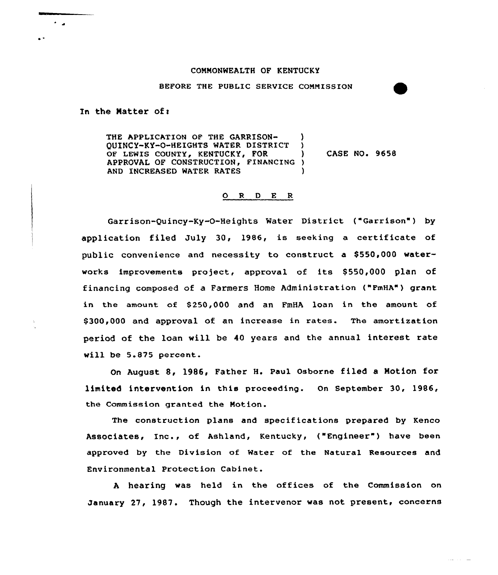## COMMONWEALTH OF KENTUCKY

### BEFORE THE PUBLIC SERVICE COMMISSION

In the Matter of:

THE APPLICATION OF THE GARRISON-QUINCY-KY-0-HEIGHTS WATER DISTRICT ) OF LEWIS COUNTY, KENTUCKY, FOR APPROVAL OF CONSTRUCTION, FINANCING ) AND INCREASED WATER RATES CASE NO. 9658

# 0 <sup>R</sup> <sup>D</sup> <sup>E</sup> <sup>R</sup>

Garrison-Quincy-Ky-0-Heights Water District ("Garrison" ) by application filed July 30, 1986, is seeking <sup>a</sup> certificate of public convenience and necessity to construct a \$550,000 waterworks improvements project, approval of its \$550,000 plan of financing composed of a Farmers Home Administration ("FmHA") grant in the amount of \$250,000 and an FmHA loan in the amount of \$ 300,000 and approval of an increase in rates. The amortization period of the loan will be 40 years and the annual interest rate will be 5.875 percent.

On August 8, 1986, Father H. Paul Osborne filed a Motion for limited intervention in this proceeding. On September 30, 1986, the Commission granted the Motion.

The construction plans and specifications prepared by Kenco Associates, Inc., of Ashland, Kentucky, ("Engineer") have been approved by the Division of Water of the Natural Resources and Environmental Protection Cabinet.

<sup>A</sup> hearing was held in the offices of the Commission on January 27, 1987. Though the intervenor was not present, concerns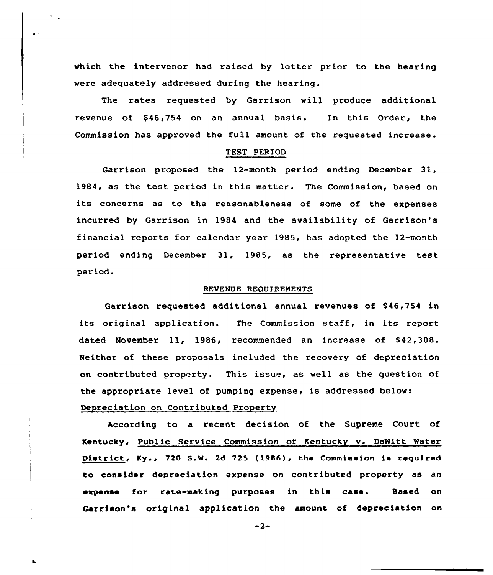vhich the intervenor had raised by letter prior to the hearing were adequately addressed during the hearing.

The rates requested by Garrison vill produce additional revenue of \$46,754 on an annual basis. In this Order, the Commission has approved the full amount of the requested increase.

# TEST PERIOD

Garrison proposed the 12-month period ending December 31, 1984, as the test period in this matter. The Commission, based on its concerns as to the reasonableness of some of the expenses incurred by Garrison in 1984 and the availability of Garrison's financial reports for calendar year 1985, has adopted the 12-month period ending December 31, 1985, as the representative test period.

### REVENUE REQUIREMENTS

Garrison requested additional annual revenues of \$46,754 in its original application. The Commission staff, in its report dated November 11, 1986, recommended an increase of \$42,308. Neither of these proposals included the recovery of depreciation on contributed property. This issue, as well as the question of the appropriate level of pumping expense, is addressed below:

Depreciation on Contributed Property

 $\ddot{\phantom{1}}$ 

hccording to a recent decision of the Supreme Court of Kentucky, Public Service Commission of Kentucky v. DeNitt Mater District, Ky., 720 S.W. 2d 725 (1986), the Commission is required to consider depreciation expense on contributed property as an expense for rate-making purposes in this case. Based on Garrison's original application the amount of depreciation on

 $-2-$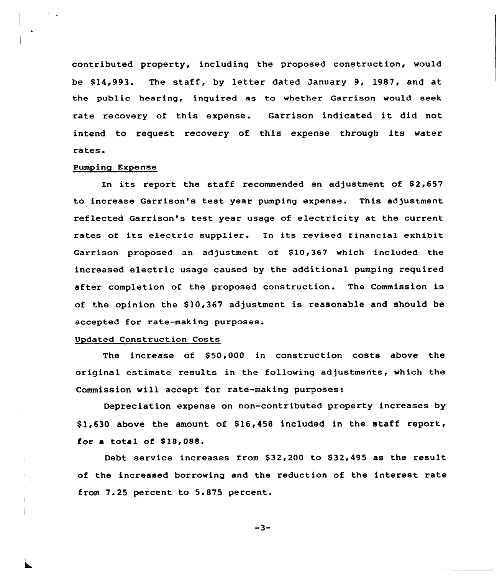contributed property, including the proposed construction, would be \$14,993. The staff, by letter dated January 9, 1987, and at the public hearing, inquired as to whether Garrison would seek rate recovery of this expense. Garrison indicated it did not intend to request recovery of this expense through its water rates.

### Pumping Expense

 $\ddot{\phantom{a}}$ 

In its report the staff recommended an adjustment of  $$2,657$ to increase Garrison's test year pumping expense. This adjustment reflected Garrison's test year usage of electricity at the current rates of its electric supplier. In its revised financial exhibit Garrison proposed an adjustment of \$10,367 which included the increased electric usage caused by the additional pumping required after completion of the proposed construction. The Commission is of the opinion the \$10,367 adjustment is reasonable and should be accepted for rate-making purposes.

#### Updated Construction Costs

The increase of  $$50,000$  in construction costs above the original estimate results in the following adjustments, which the Commission will accept for rate-making purposes:

Depreciation expense on non-contributed property increases by  $$1,630$  above the amount of  $$16,458$  included in the staff report, for a total of \$18,088.

Debt service increases from \$32,200 to \$32,495 as the result of the increased borrowing and the reduction of the interest rate from 7.25 percent to 5.875 percent.

 $-3-$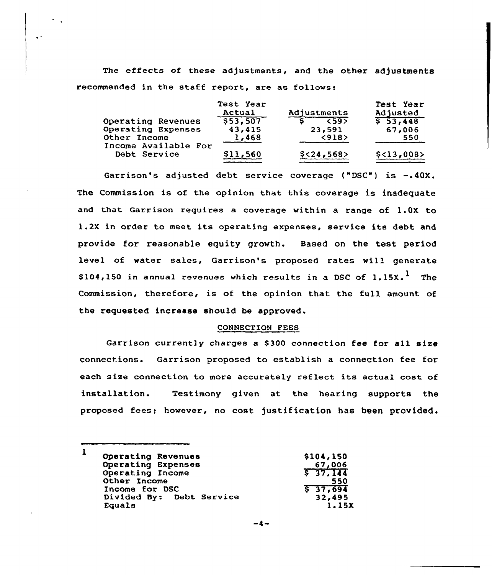The effects of these adjustments, and the other adjustments recommended in the staff report, are as follows:

|                                      | Test Year<br>Actual | Adjustments          | Test Year<br>Adjusted |
|--------------------------------------|---------------------|----------------------|-----------------------|
| Operating Revenues                   | 553.507             | 59<br>$\overline{s}$ | 553,448               |
| Operating Expenses                   | 43,415              | 23,591               | 67,006                |
| Other Income                         | 1,468               | < 918                | 550                   |
| Income Available For<br>Debt Service | \$11,560            | $$<$ 24,568>         | \$<13,008>            |

Garrison's adjusted debt service coverage ("DSC") is —.40X. The Commission is of the opinion that this coverage is inadequate and that Garrison requires a coverage within a range of 1.0X to 1.2X in order to meet its operating expenses, service its debt and provide for reasonable equity growth. Based on the test period level of water sales, Garrison's proposed rates will generate \$104,150 in annual revenues which results in a DSC of  $1.15X.<sup>1</sup>$  The Commission, therefore, is of the opinion that the full amount of the requested increase should be approved.

## CONNECTION FEES

Garrison currently charges a S300 connection fee for all size connections. Garrison proposed to establish a connection fee for each size connection to more accurately reflect its actual cost of installation. Testimony given at the hearing supports the proposed fees; however, no cost justification has been provided.

| 1 | Operating Revenues       | \$104,150 |
|---|--------------------------|-----------|
|   | Operating Expenses       | 67,006    |
|   | Operating Income         | 537,144   |
|   | Other Income             | 550       |
|   | Income for DSC           | 537,694   |
|   | Divided By: Debt Service | 32,495    |
|   | Equals                   | 1.15X     |
|   |                          |           |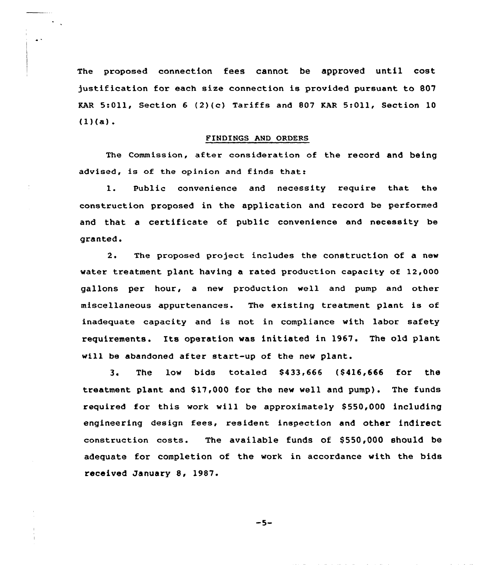The proposed connection fees cannot be approved until cost justification for each size connection is provided pursuant to 807 KAR 5:Oll, Section <sup>6</sup> (2)(c) Tariffs and 807 KAR 5:Oll, Section 10  $(1)(a)$ .

### FINDINGS AND ORDERS

The Commission, after consideration of the record and being advised, is of the opinion and finds that:

1. Public convenience and necessity require that the construction proposed in the application and record be performed and that a certificate of public convenience and necessity be granted.

2. The proposed pxoject includes the construction of a new water treatment plant having a rated production capacity of 12,000 gallons per hour, a new production well and pump and other miscellaneous appurtenances. The existing treatment plant is of inadequate capacity and is not in compliance with labor safety requirements. Its operation was initiated in 1967. The old plant will be abandoned after start-up of the new plant.

3. The low bids totaled 8433,666 (8416,666 for the treatment plant and \$17,000 for the new well and pump). The funds required for this work will be approximately \$550,000 including engineering design fees, resident inspection and other indirect construction costs. The available funds of  $$550,000$  should be adequate for completion of the work in accordance with the bids received January 8, 1987.

 $-5-$ 

المتعادية والمتحدث والمتحدث والمتحدة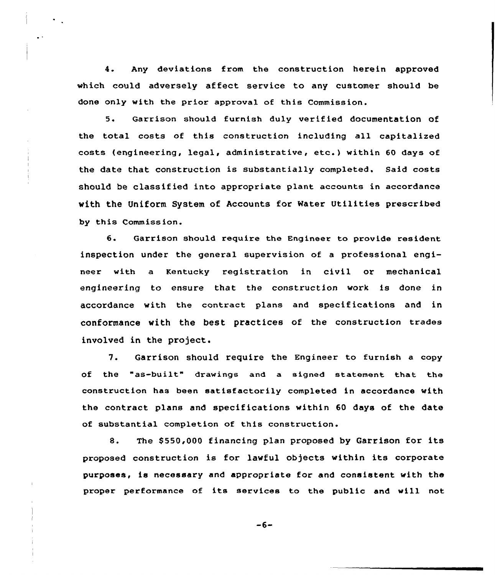4. Any deviations from the construction herein approved which could adversely affect service to any customer should be done only with the prior approval of this Commission.

5. Garrison should furnish duly verified documentation of the total costs of this construction including all capitalized costs (engineering, legal, administrative, etc.) within 60 days of the date that construction is substantially completed. Said costs should be classified into appropriate plant accounts in accordance with the Uniform System of Accounts for Water Utilities prescribed by this Commission.

6. Garrison should require the Engineer to provide resident inspection under the general supervision of a professional engineer with a Kentucky registration in civil or mechanical engineering to ensure that the construction work is done in accordance with the contract plans and specifications and in conformance with the best practices of the construction trades involved in the project.

7. Garrison should require the Engineer to furnish a copy of the "as-built" drawings and <sup>a</sup> signed statement that the construction has been satisfactorily completed in accordance with the contract plans and specifications within 60 days of the date of substantial completion of this construction.

8. The \$550,000 financing plan proposed by Garrison for its proposed construction is for lawful objects within its corporate purposes, is necessary and appropriate for and consistent with the proper performance of its services to the public and will not

 $-6-$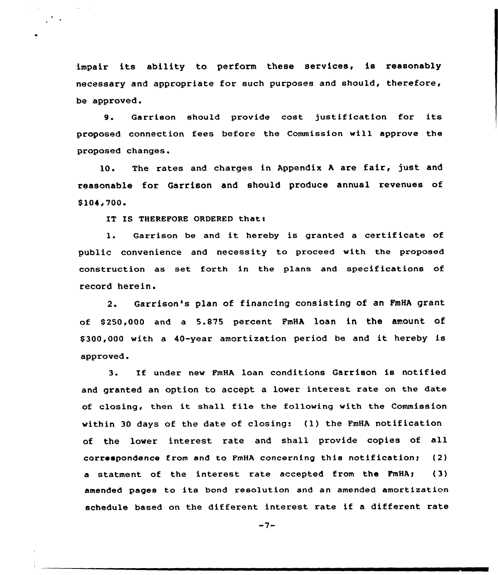impair its ability to perform these services, is reasonably necessary and appropriate for such purposes and should, therefore, be approved.

9. Garrison should provide cost justification for its proposed connection fees before the Commission will approve the proposed changes.

10. The rates and charges in Appendix A are fair, just and reasonable for Garrison and should produce annual revenues of \$104,700.

IT IS THEREFORE ORDERED that:

1. Garrison be and it hereby is granted <sup>a</sup> certificate of public convenience and necessity to proceed with the proposed construction as set forth in the plans and specifications of record herein.

2. Garrison's plan of financing consisting of an FmHA grant of 8250,000 and a 5.875 percent PmHA loan in the amount of \$ 300,000 with <sup>a</sup> 40-year amortization period be and it hereby is approved.

3. If under new FmHA loan conditions Garrison is notified and granted an option to accept a lower interest rate on the date of closing, then it shall file the following with the Commission within 30 days of the date of closing:  $(1)$  the FmHA notification of the lover interest rate and shall provide copies of all correspondence from and to FmHA concerning this notification;  $(2)$ a statment of the interest rate accepted from the FmHA; (3) amended pages to its bond resolution and an amended amortization schedule based on the different interest rate if a different rate

 $-7-$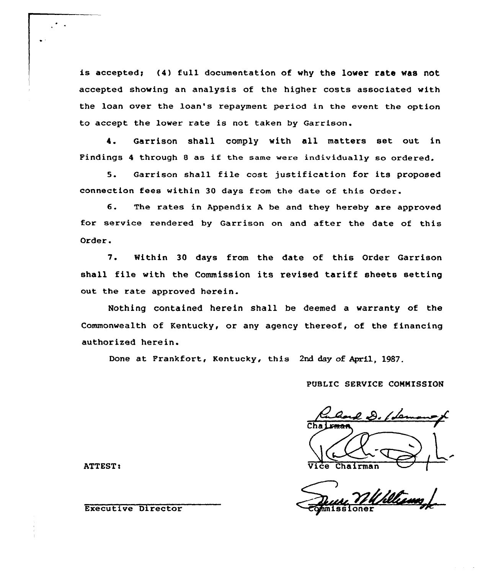is accepted; (4) full documentation of why the lower rate was not accepted showing an analysis of the higher costs associated with the loan over the loan's repayment period in the event the option to accept the lower rate is not taken by Garrison.

4. Garrison shall comply with all matters set out in Findings <sup>4</sup> through <sup>8</sup> as if the same were individually so ordered.

5. Garrison shall file cost justification for its proposed connection fees within 30 days from the date of this Order.

6. The rates in Appendix <sup>A</sup> be and they hereby are approved for service rendered by Garrison on and after the date of this Order.

7. Within 30 days from the date of this Order Garrison shall file with the Commission its revised tariff sheets setting out the rate approved herein.

Nothing contained herein shall be deemed a warranty of the Commonwealth of Kentucky, or any agency thereof, of the financing authorized herein.

Done at Frankfort, Kentucky, this 2nd day of April, 1987.

PUBLIC SERVICE CONNISSIOM

l D. [Le ATTEST: Vice Chairman Chairman Chairman Chairman Chairman Chairman Chairman Chairman Chairman Chairm

 $\sim$   $\sim$ 

Executive Director